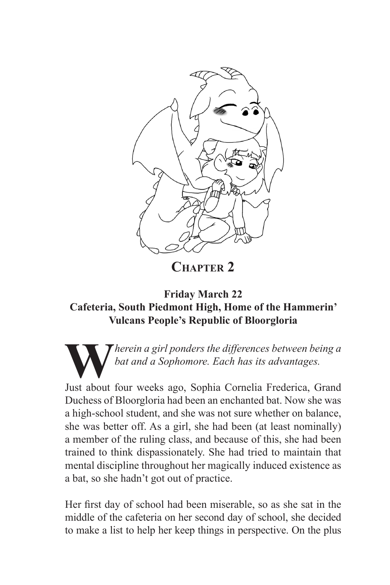

**Chapter 2**

## **Friday March 22 Cafeteria, South Piedmont High, Home of the Hammerin' Vulcans People's Republic of Bloorgloria**

**W***herein a girl ponders the differences between being a bat and a Sophomore. Each has its advantages.*

Just about four weeks ago, Sophia Cornelia Frederica, Grand Duchess of Bloorgloria had been an enchanted bat. Now she was a high-school student, and she was not sure whether on balance, she was better off. As a girl, she had been (at least nominally) a member of the ruling class, and because of this, she had been trained to think dispassionately. She had tried to maintain that mental discipline throughout her magically induced existence as a bat, so she hadn't got out of practice.

Her first day of school had been miserable, so as she sat in the middle of the cafeteria on her second day of school, she decided to make a list to help her keep things in perspective. On the plus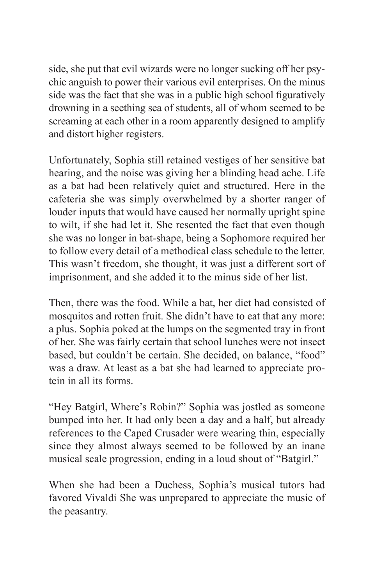side, she put that evil wizards were no longer sucking off her psychic anguish to power their various evil enterprises. On the minus side was the fact that she was in a public high school figuratively drowning in a seething sea of students, all of whom seemed to be screaming at each other in a room apparently designed to amplify and distort higher registers.

Unfortunately, Sophia still retained vestiges of her sensitive bat hearing, and the noise was giving her a blinding head ache. Life as a bat had been relatively quiet and structured. Here in the cafeteria she was simply overwhelmed by a shorter ranger of louder inputs that would have caused her normally upright spine to wilt, if she had let it. She resented the fact that even though she was no longer in bat-shape, being a Sophomore required her to follow every detail of a methodical class schedule to the letter. This wasn't freedom, she thought, it was just a different sort of imprisonment, and she added it to the minus side of her list.

Then, there was the food. While a bat, her diet had consisted of mosquitos and rotten fruit. She didn't have to eat that any more: a plus. Sophia poked at the lumps on the segmented tray in front of her. She was fairly certain that school lunches were not insect based, but couldn't be certain. She decided, on balance, "food" was a draw. At least as a bat she had learned to appreciate protein in all its forms.

"Hey Batgirl, Where's Robin?" Sophia was jostled as someone bumped into her. It had only been a day and a half, but already references to the Caped Crusader were wearing thin, especially since they almost always seemed to be followed by an inane musical scale progression, ending in a loud shout of "Batgirl."

When she had been a Duchess, Sophia's musical tutors had favored Vivaldi She was unprepared to appreciate the music of the peasantry.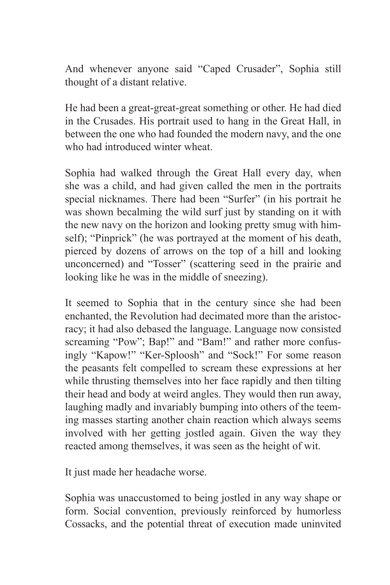And whenever anyone said "Caped Crusader", Sophia still thought of a distant relative.

He had been a great-great-great something or other. He had died in the Crusades. His portrait used to hang in the Great Hall, in between the one who had founded the modern navy, and the one who had introduced winter wheat.

Sophia had walked through the Great Hall every day, when she was a child, and had given called the men in the portraits special nicknames. There had been "Surfer" (in his portrait he was shown becalming the wild surf just by standing on it with the new navy on the horizon and looking pretty smug with himself); "Pinprick" (he was portrayed at the moment of his death, pierced by dozens of arrows on the top of a hill and looking unconcerned) and "Tosser" (scattering seed in the prairie and looking like he was in the middle of sneezing).

It seemed to Sophia that in the century since she had been enchanted, the Revolution had decimated more than the aristocracy; it had also debased the language. Language now consisted screaming "Pow"; Bap!" and "Bam!" and rather more confusingly "Kapow!" "Ker-Sploosh" and "Sock!" For some reason the peasants felt compelled to scream these expressions at her while thrusting themselves into her face rapidly and then tilting their head and body at weird angles. They would then run away, laughing madly and invariably bumping into others of the teeming masses starting another chain reaction which always seems involved with her getting jostled again. Given the way they reacted among themselves, it was seen as the height of wit.

It just made her headache worse.

Sophia was unaccustomed to being jostled in any way shape or form. Social convention, previously reinforced by humorless Cossacks, and the potential threat of execution made uninvited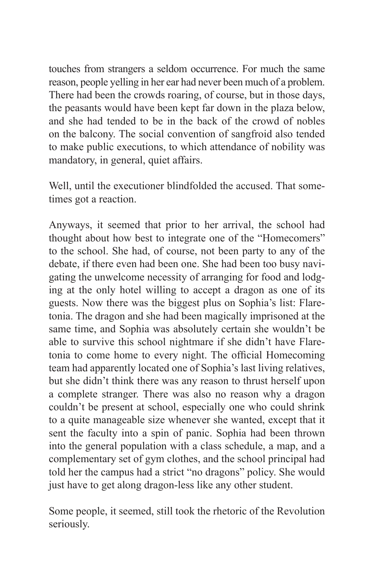touches from strangers a seldom occurrence. For much the same reason, people yelling in her ear had never been much of a problem. There had been the crowds roaring, of course, but in those days, the peasants would have been kept far down in the plaza below, and she had tended to be in the back of the crowd of nobles on the balcony. The social convention of sangfroid also tended to make public executions, to which attendance of nobility was mandatory, in general, quiet affairs.

Well, until the executioner blindfolded the accused. That sometimes got a reaction.

Anyways, it seemed that prior to her arrival, the school had thought about how best to integrate one of the "Homecomers" to the school. She had, of course, not been party to any of the debate, if there even had been one. She had been too busy navigating the unwelcome necessity of arranging for food and lodging at the only hotel willing to accept a dragon as one of its guests. Now there was the biggest plus on Sophia's list: Flaretonia. The dragon and she had been magically imprisoned at the same time, and Sophia was absolutely certain she wouldn't be able to survive this school nightmare if she didn't have Flaretonia to come home to every night. The official Homecoming team had apparently located one of Sophia's last living relatives, but she didn't think there was any reason to thrust herself upon a complete stranger. There was also no reason why a dragon couldn't be present at school, especially one who could shrink to a quite manageable size whenever she wanted, except that it sent the faculty into a spin of panic. Sophia had been thrown into the general population with a class schedule, a map, and a complementary set of gym clothes, and the school principal had told her the campus had a strict "no dragons" policy. She would just have to get along dragon-less like any other student.

Some people, it seemed, still took the rhetoric of the Revolution seriously.